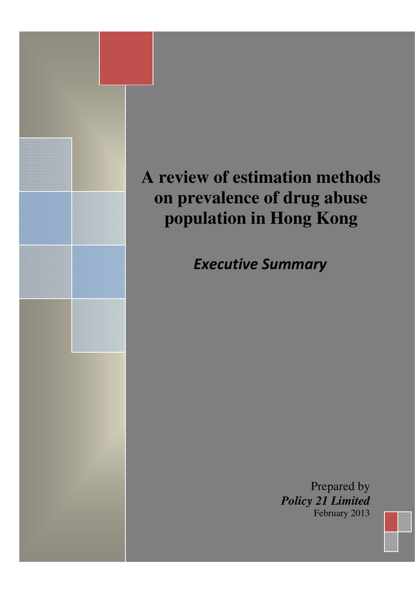# **A review of estimation methods on prevalence of drug abuse population in Hong Kong**

Executive Summary

Prepared by *Policy 21 Limited* February 2013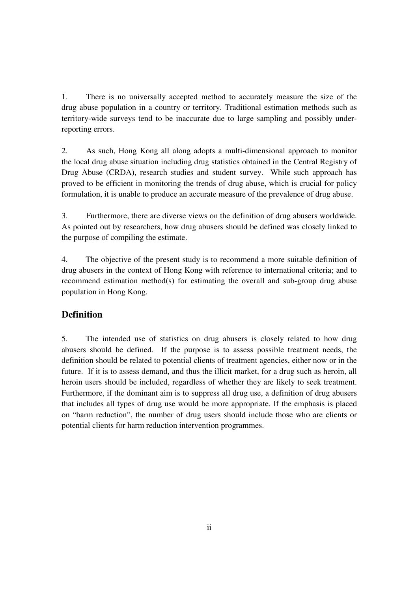1. There is no universally accepted method to accurately measure the size of the drug abuse population in a country or territory. Traditional estimation methods such as territory-wide surveys tend to be inaccurate due to large sampling and possibly underreporting errors.

2. As such, Hong Kong all along adopts a multi-dimensional approach to monitor the local drug abuse situation including drug statistics obtained in the Central Registry of Drug Abuse (CRDA), research studies and student survey. While such approach has proved to be efficient in monitoring the trends of drug abuse, which is crucial for policy formulation, it is unable to produce an accurate measure of the prevalence of drug abuse.

3. Furthermore, there are diverse views on the definition of drug abusers worldwide. As pointed out by researchers, how drug abusers should be defined was closely linked to the purpose of compiling the estimate.

4. The objective of the present study is to recommend a more suitable definition of drug abusers in the context of Hong Kong with reference to international criteria; and to recommend estimation method(s) for estimating the overall and sub-group drug abuse population in Hong Kong.

# **Definition**

5. The intended use of statistics on drug abusers is closely related to how drug abusers should be defined. If the purpose is to assess possible treatment needs, the definition should be related to potential clients of treatment agencies, either now or in the future. If it is to assess demand, and thus the illicit market, for a drug such as heroin, all heroin users should be included, regardless of whether they are likely to seek treatment. Furthermore, if the dominant aim is to suppress all drug use, a definition of drug abusers that includes all types of drug use would be more appropriate. If the emphasis is placed on "harm reduction", the number of drug users should include those who are clients or potential clients for harm reduction intervention programmes.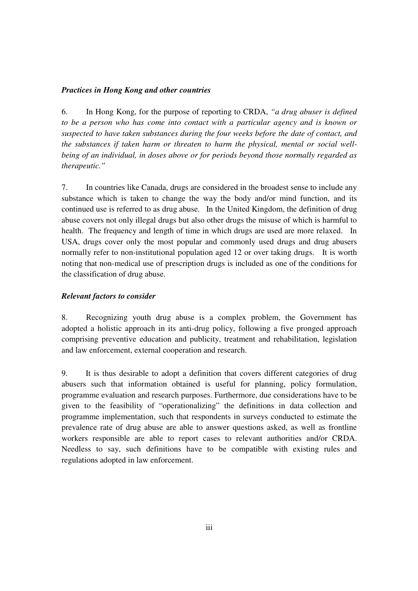#### *Practices in Hong Kong and other countries*

6. In Hong Kong, for the purpose of reporting to CRDA, *"a drug abuser is defined to be a person who has come into contact with a particular agency and is known or suspected to have taken substances during the four weeks before the date of contact, and the substances if taken harm or threaten to harm the physical, mental or social wellbeing of an individual, in doses above or for periods beyond those normally regarded as therapeutic."*

7. In countries like Canada, drugs are considered in the broadest sense to include any substance which is taken to change the way the body and/or mind function, and its continued use is referred to as drug abuse. In the United Kingdom, the definition of drug abuse covers not only illegal drugs but also other drugs the misuse of which is harmful to health. The frequency and length of time in which drugs are used are more relaxed. In USA, drugs cover only the most popular and commonly used drugs and drug abusers normally refer to non-institutional population aged 12 or over taking drugs. It is worth noting that non-medical use of prescription drugs is included as one of the conditions for the classification of drug abuse.

#### *Relevant factors to consider*

8. Recognizing youth drug abuse is a complex problem, the Government has adopted a holistic approach in its anti-drug policy, following a five pronged approach comprising preventive education and publicity, treatment and rehabilitation, legislation and law enforcement, external cooperation and research.

9. It is thus desirable to adopt a definition that covers different categories of drug abusers such that information obtained is useful for planning, policy formulation, programme evaluation and research purposes. Furthermore, due considerations have to be given to the feasibility of "operationalizing" the definitions in data collection and programme implementation, such that respondents in surveys conducted to estimate the prevalence rate of drug abuse are able to answer questions asked, as well as frontline workers responsible are able to report cases to relevant authorities and/or CRDA. Needless to say, such definitions have to be compatible with existing rules and regulations adopted in law enforcement.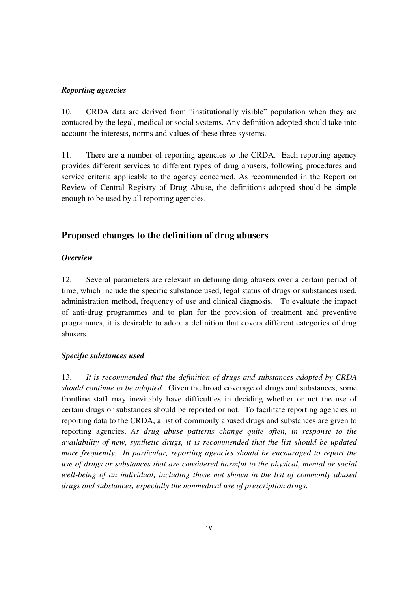#### *Reporting agencies*

10. CRDA data are derived from "institutionally visible" population when they are contacted by the legal, medical or social systems. Any definition adopted should take into account the interests, norms and values of these three systems.

11. There are a number of reporting agencies to the CRDA. Each reporting agency provides different services to different types of drug abusers, following procedures and service criteria applicable to the agency concerned. As recommended in the Report on Review of Central Registry of Drug Abuse, the definitions adopted should be simple enough to be used by all reporting agencies.

## **Proposed changes to the definition of drug abusers**

#### *Overview*

12. Several parameters are relevant in defining drug abusers over a certain period of time, which include the specific substance used, legal status of drugs or substances used, administration method, frequency of use and clinical diagnosis. To evaluate the impact of anti-drug programmes and to plan for the provision of treatment and preventive programmes, it is desirable to adopt a definition that covers different categories of drug abusers.

#### *Specific substances used*

13. *It is recommended that the definition of drugs and substances adopted by CRDA should continue to be adopted.* Given the broad coverage of drugs and substances, some frontline staff may inevitably have difficulties in deciding whether or not the use of certain drugs or substances should be reported or not. To facilitate reporting agencies in reporting data to the CRDA, a list of commonly abused drugs and substances are given to reporting agencies. *As drug abuse patterns change quite often, in response to the availability of new, synthetic drugs, it is recommended that the list should be updated more frequently. In particular, reporting agencies should be encouraged to report the use of drugs or substances that are considered harmful to the physical, mental or social well-being of an individual, including those not shown in the list of commonly abused drugs and substances, especially the nonmedical use of prescription drugs.*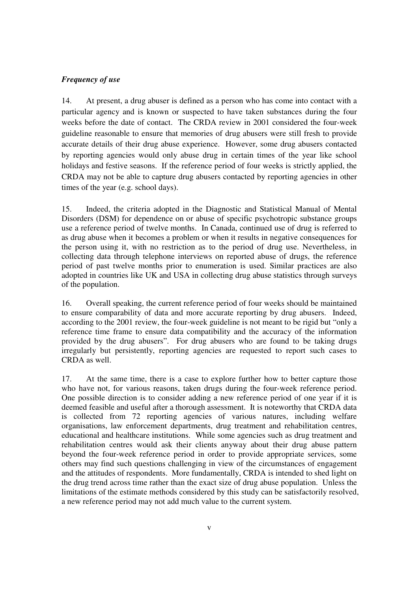#### *Frequency of use*

14. At present, a drug abuser is defined as a person who has come into contact with a particular agency and is known or suspected to have taken substances during the four weeks before the date of contact. The CRDA review in 2001 considered the four-week guideline reasonable to ensure that memories of drug abusers were still fresh to provide accurate details of their drug abuse experience. However, some drug abusers contacted by reporting agencies would only abuse drug in certain times of the year like school holidays and festive seasons. If the reference period of four weeks is strictly applied, the CRDA may not be able to capture drug abusers contacted by reporting agencies in other times of the year (e.g. school days).

15. Indeed, the criteria adopted in the Diagnostic and Statistical Manual of Mental Disorders (DSM) for dependence on or abuse of specific psychotropic substance groups use a reference period of twelve months. In Canada, continued use of drug is referred to as drug abuse when it becomes a problem or when it results in negative consequences for the person using it, with no restriction as to the period of drug use. Nevertheless, in collecting data through telephone interviews on reported abuse of drugs, the reference period of past twelve months prior to enumeration is used. Similar practices are also adopted in countries like UK and USA in collecting drug abuse statistics through surveys of the population.

16. Overall speaking, the current reference period of four weeks should be maintained to ensure comparability of data and more accurate reporting by drug abusers. Indeed, according to the 2001 review, the four-week guideline is not meant to be rigid but "only a reference time frame to ensure data compatibility and the accuracy of the information provided by the drug abusers". For drug abusers who are found to be taking drugs irregularly but persistently, reporting agencies are requested to report such cases to CRDA as well.

17. At the same time, there is a case to explore further how to better capture those who have not, for various reasons, taken drugs during the four-week reference period. One possible direction is to consider adding a new reference period of one year if it is deemed feasible and useful after a thorough assessment. It is noteworthy that CRDA data is collected from 72 reporting agencies of various natures, including welfare organisations, law enforcement departments, drug treatment and rehabilitation centres, educational and healthcare institutions. While some agencies such as drug treatment and rehabilitation centres would ask their clients anyway about their drug abuse pattern beyond the four-week reference period in order to provide appropriate services, some others may find such questions challenging in view of the circumstances of engagement and the attitudes of respondents. More fundamentally, CRDA is intended to shed light on the drug trend across time rather than the exact size of drug abuse population. Unless the limitations of the estimate methods considered by this study can be satisfactorily resolved, a new reference period may not add much value to the current system.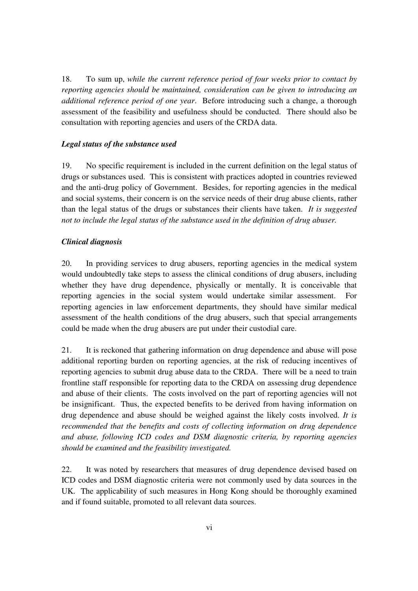18. To sum up, *while the current reference period of four weeks prior to contact by reporting agencies should be maintained, consideration can be given to introducing an additional reference period of one year*. Before introducing such a change, a thorough assessment of the feasibility and usefulness should be conducted. There should also be consultation with reporting agencies and users of the CRDA data.

#### *Legal status of the substance used*

19. No specific requirement is included in the current definition on the legal status of drugs or substances used. This is consistent with practices adopted in countries reviewed and the anti-drug policy of Government. Besides, for reporting agencies in the medical and social systems, their concern is on the service needs of their drug abuse clients, rather than the legal status of the drugs or substances their clients have taken. *It is suggested not to include the legal status of the substance used in the definition of drug abuser.*

#### *Clinical diagnosis*

20. In providing services to drug abusers, reporting agencies in the medical system would undoubtedly take steps to assess the clinical conditions of drug abusers, including whether they have drug dependence, physically or mentally. It is conceivable that reporting agencies in the social system would undertake similar assessment. For reporting agencies in law enforcement departments, they should have similar medical assessment of the health conditions of the drug abusers, such that special arrangements could be made when the drug abusers are put under their custodial care.

21. It is reckoned that gathering information on drug dependence and abuse will pose additional reporting burden on reporting agencies, at the risk of reducing incentives of reporting agencies to submit drug abuse data to the CRDA. There will be a need to train frontline staff responsible for reporting data to the CRDA on assessing drug dependence and abuse of their clients. The costs involved on the part of reporting agencies will not be insignificant. Thus, the expected benefits to be derived from having information on drug dependence and abuse should be weighed against the likely costs involved. *It is recommended that the benefits and costs of collecting information on drug dependence and abuse, following ICD codes and DSM diagnostic criteria, by reporting agencies should be examined and the feasibility investigated.* 

22. It was noted by researchers that measures of drug dependence devised based on ICD codes and DSM diagnostic criteria were not commonly used by data sources in the UK. The applicability of such measures in Hong Kong should be thoroughly examined and if found suitable, promoted to all relevant data sources.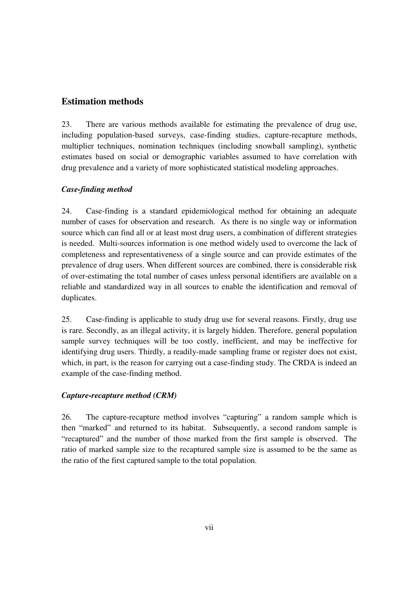# **Estimation methods**

23. There are various methods available for estimating the prevalence of drug use, including population-based surveys, case-finding studies, capture-recapture methods, multiplier techniques, nomination techniques (including snowball sampling), synthetic estimates based on social or demographic variables assumed to have correlation with drug prevalence and a variety of more sophisticated statistical modeling approaches.

## *Case-finding method*

24. Case-finding is a standard epidemiological method for obtaining an adequate number of cases for observation and research. As there is no single way or information source which can find all or at least most drug users, a combination of different strategies is needed. Multi-sources information is one method widely used to overcome the lack of completeness and representativeness of a single source and can provide estimates of the prevalence of drug users. When different sources are combined, there is considerable risk of over-estimating the total number of cases unless personal identifiers are available on a reliable and standardized way in all sources to enable the identification and removal of duplicates.

25. Case-finding is applicable to study drug use for several reasons. Firstly, drug use is rare. Secondly, as an illegal activity, it is largely hidden. Therefore, general population sample survey techniques will be too costly, inefficient, and may be ineffective for identifying drug users. Thirdly, a readily-made sampling frame or register does not exist, which, in part, is the reason for carrying out a case-finding study. The CRDA is indeed an example of the case-finding method.

## *Capture-recapture method (CRM)*

26. The capture-recapture method involves "capturing" a random sample which is then "marked" and returned to its habitat. Subsequently, a second random sample is "recaptured" and the number of those marked from the first sample is observed. The ratio of marked sample size to the recaptured sample size is assumed to be the same as the ratio of the first captured sample to the total population.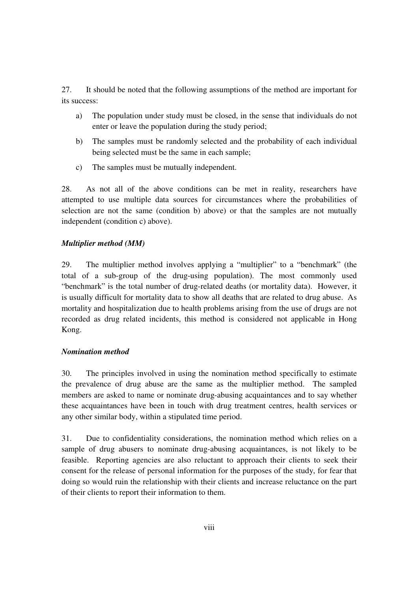27. It should be noted that the following assumptions of the method are important for its success:

- a) The population under study must be closed, in the sense that individuals do not enter or leave the population during the study period;
- b) The samples must be randomly selected and the probability of each individual being selected must be the same in each sample;
- c) The samples must be mutually independent.

28. As not all of the above conditions can be met in reality, researchers have attempted to use multiple data sources for circumstances where the probabilities of selection are not the same (condition b) above) or that the samples are not mutually independent (condition c) above).

#### *Multiplier method (MM)*

29. The multiplier method involves applying a "multiplier" to a "benchmark" (the total of a sub-group of the drug-using population). The most commonly used "benchmark" is the total number of drug-related deaths (or mortality data). However, it is usually difficult for mortality data to show all deaths that are related to drug abuse. As mortality and hospitalization due to health problems arising from the use of drugs are not recorded as drug related incidents, this method is considered not applicable in Hong Kong.

#### *Nomination method*

30. The principles involved in using the nomination method specifically to estimate the prevalence of drug abuse are the same as the multiplier method. The sampled members are asked to name or nominate drug-abusing acquaintances and to say whether these acquaintances have been in touch with drug treatment centres, health services or any other similar body, within a stipulated time period.

31. Due to confidentiality considerations, the nomination method which relies on a sample of drug abusers to nominate drug-abusing acquaintances, is not likely to be feasible. Reporting agencies are also reluctant to approach their clients to seek their consent for the release of personal information for the purposes of the study, for fear that doing so would ruin the relationship with their clients and increase reluctance on the part of their clients to report their information to them.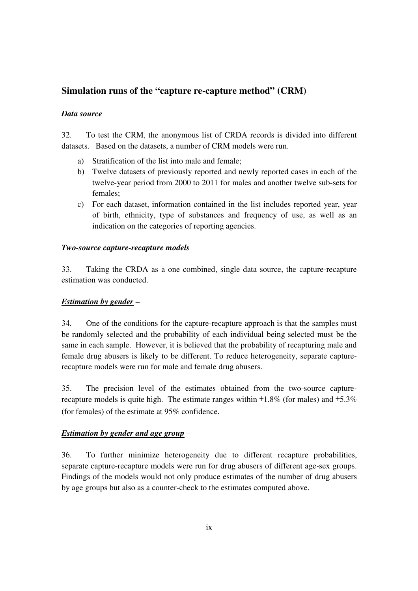# **Simulation runs of the "capture re-capture method" (CRM)**

#### *Data source*

32. To test the CRM, the anonymous list of CRDA records is divided into different datasets. Based on the datasets, a number of CRM models were run.

- a) Stratification of the list into male and female;
- b) Twelve datasets of previously reported and newly reported cases in each of the twelve-year period from 2000 to 2011 for males and another twelve sub-sets for females;
- c) For each dataset, information contained in the list includes reported year, year of birth, ethnicity, type of substances and frequency of use, as well as an indication on the categories of reporting agencies.

#### *Two-source capture-recapture models*

33. Taking the CRDA as a one combined, single data source, the capture-recapture estimation was conducted.

#### *Estimation by gender –*

34*.* One of the conditions for the capture-recapture approach is that the samples must be randomly selected and the probability of each individual being selected must be the same in each sample. However, it is believed that the probability of recapturing male and female drug abusers is likely to be different. To reduce heterogeneity, separate capturerecapture models were run for male and female drug abusers.

35. The precision level of the estimates obtained from the two-source capturerecapture models is quite high. The estimate ranges within  $\pm 1.8\%$  (for males) and  $\pm 5.3\%$ (for females) of the estimate at 95% confidence.

#### *Estimation by gender and age group –*

36. To further minimize heterogeneity due to different recapture probabilities, separate capture-recapture models were run for drug abusers of different age-sex groups. Findings of the models would not only produce estimates of the number of drug abusers by age groups but also as a counter-check to the estimates computed above.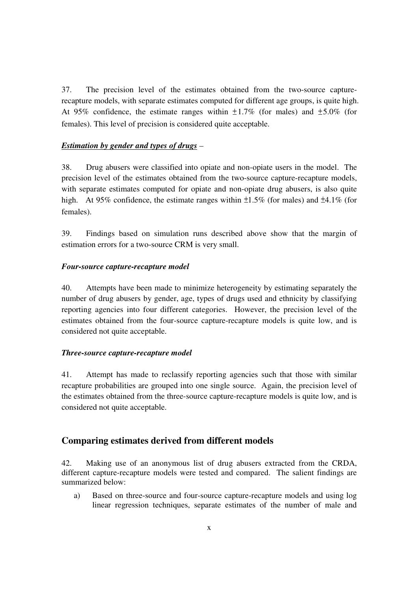37. The precision level of the estimates obtained from the two-source capturerecapture models, with separate estimates computed for different age groups, is quite high. At 95% confidence, the estimate ranges within  $\pm 1.7\%$  (for males) and  $\pm 5.0\%$  (for females). This level of precision is considered quite acceptable.

#### *Estimation by gender and types of drugs –*

38. Drug abusers were classified into opiate and non-opiate users in the model. The precision level of the estimates obtained from the two-source capture-recapture models, with separate estimates computed for opiate and non-opiate drug abusers, is also quite high. At 95% confidence, the estimate ranges within  $\pm 1.5\%$  (for males) and  $\pm 4.1\%$  (for females).

39. Findings based on simulation runs described above show that the margin of estimation errors for a two-source CRM is very small.

#### *Four-source capture-recapture model*

40. Attempts have been made to minimize heterogeneity by estimating separately the number of drug abusers by gender, age, types of drugs used and ethnicity by classifying reporting agencies into four different categories. However, the precision level of the estimates obtained from the four-source capture-recapture models is quite low, and is considered not quite acceptable.

#### *Three-source capture-recapture model*

41. Attempt has made to reclassify reporting agencies such that those with similar recapture probabilities are grouped into one single source. Again, the precision level of the estimates obtained from the three-source capture-recapture models is quite low, and is considered not quite acceptable.

## **Comparing estimates derived from different models**

42. Making use of an anonymous list of drug abusers extracted from the CRDA, different capture-recapture models were tested and compared. The salient findings are summarized below:

a) Based on three-source and four-source capture-recapture models and using log linear regression techniques, separate estimates of the number of male and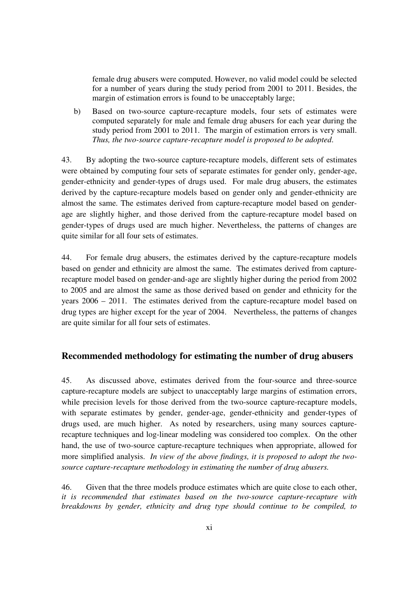female drug abusers were computed. However, no valid model could be selected for a number of years during the study period from 2001 to 2011. Besides, the margin of estimation errors is found to be unacceptably large;

b) Based on two-source capture-recapture models, four sets of estimates were computed separately for male and female drug abusers for each year during the study period from 2001 to 2011. The margin of estimation errors is very small. *Thus, the two-source capture-recapture model is proposed to be adopted*.

43. By adopting the two-source capture-recapture models, different sets of estimates were obtained by computing four sets of separate estimates for gender only, gender-age, gender-ethnicity and gender-types of drugs used. For male drug abusers, the estimates derived by the capture-recapture models based on gender only and gender-ethnicity are almost the same. The estimates derived from capture-recapture model based on genderage are slightly higher, and those derived from the capture-recapture model based on gender-types of drugs used are much higher. Nevertheless, the patterns of changes are quite similar for all four sets of estimates.

44. For female drug abusers, the estimates derived by the capture-recapture models based on gender and ethnicity are almost the same. The estimates derived from capturerecapture model based on gender-and-age are slightly higher during the period from 2002 to 2005 and are almost the same as those derived based on gender and ethnicity for the years 2006 – 2011. The estimates derived from the capture-recapture model based on drug types are higher except for the year of 2004. Nevertheless, the patterns of changes are quite similar for all four sets of estimates.

#### **Recommended methodology for estimating the number of drug abusers**

45. As discussed above, estimates derived from the four-source and three-source capture-recapture models are subject to unacceptably large margins of estimation errors, while precision levels for those derived from the two-source capture-recapture models, with separate estimates by gender, gender-age, gender-ethnicity and gender-types of drugs used, are much higher. As noted by researchers, using many sources capturerecapture techniques and log-linear modeling was considered too complex. On the other hand, the use of two-source capture-recapture techniques when appropriate, allowed for more simplified analysis. *In view of the above findings, it is proposed to adopt the twosource capture-recapture methodology in estimating the number of drug abusers.* 

46. Given that the three models produce estimates which are quite close to each other, *it is recommended that estimates based on the two-source capture-recapture with breakdowns by gender, ethnicity and drug type should continue to be compiled, to*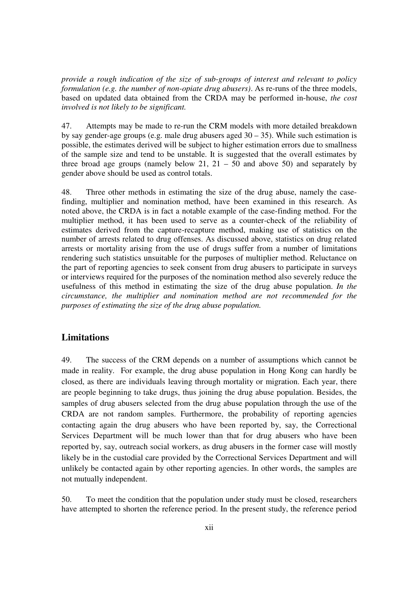*provide a rough indication of the size of sub-groups of interest and relevant to policy formulation (e.g. the number of non-opiate drug abusers)*. As re-runs of the three models, based on updated data obtained from the CRDA may be performed in-house, *the cost involved is not likely to be significant.* 

47. Attempts may be made to re-run the CRM models with more detailed breakdown by say gender-age groups (e.g. male drug abusers aged  $30 - 35$ ). While such estimation is possible, the estimates derived will be subject to higher estimation errors due to smallness of the sample size and tend to be unstable. It is suggested that the overall estimates by three broad age groups (namely below 21,  $21 - 50$  and above 50) and separately by gender above should be used as control totals.

48. Three other methods in estimating the size of the drug abuse, namely the casefinding, multiplier and nomination method, have been examined in this research. As noted above, the CRDA is in fact a notable example of the case-finding method. For the multiplier method, it has been used to serve as a counter-check of the reliability of estimates derived from the capture-recapture method, making use of statistics on the number of arrests related to drug offenses. As discussed above, statistics on drug related arrests or mortality arising from the use of drugs suffer from a number of limitations rendering such statistics unsuitable for the purposes of multiplier method. Reluctance on the part of reporting agencies to seek consent from drug abusers to participate in surveys or interviews required for the purposes of the nomination method also severely reduce the usefulness of this method in estimating the size of the drug abuse population. *In the circumstance, the multiplier and nomination method are not recommended for the purposes of estimating the size of the drug abuse population.* 

### **Limitations**

49. The success of the CRM depends on a number of assumptions which cannot be made in reality. For example, the drug abuse population in Hong Kong can hardly be closed, as there are individuals leaving through mortality or migration. Each year, there are people beginning to take drugs, thus joining the drug abuse population. Besides, the samples of drug abusers selected from the drug abuse population through the use of the CRDA are not random samples. Furthermore, the probability of reporting agencies contacting again the drug abusers who have been reported by, say, the Correctional Services Department will be much lower than that for drug abusers who have been reported by, say, outreach social workers, as drug abusers in the former case will mostly likely be in the custodial care provided by the Correctional Services Department and will unlikely be contacted again by other reporting agencies. In other words, the samples are not mutually independent.

50. To meet the condition that the population under study must be closed, researchers have attempted to shorten the reference period. In the present study, the reference period